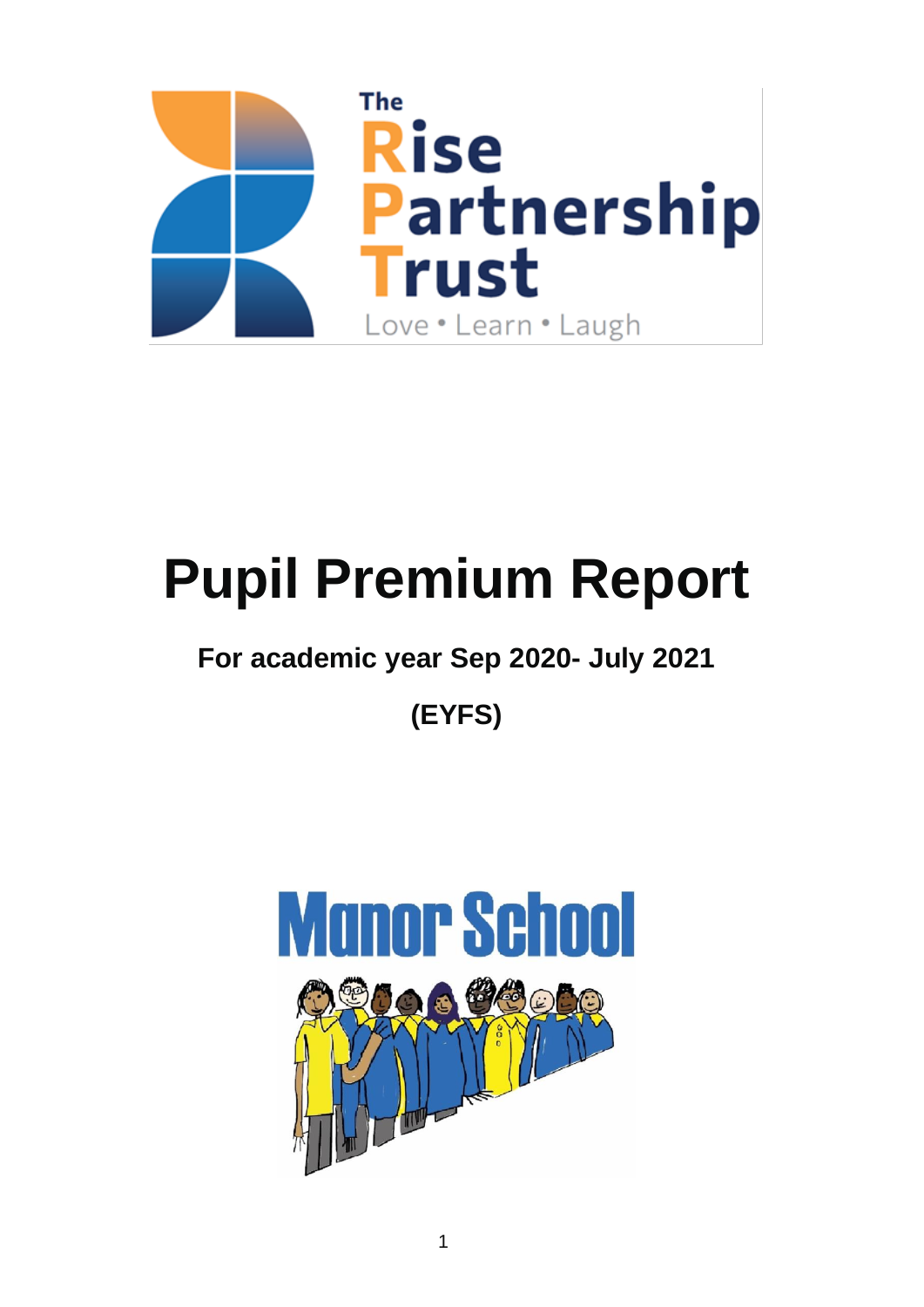

# **Pupil Premium Report**

# **For academic year Sep 2020- July 2021**

**(EYFS)**

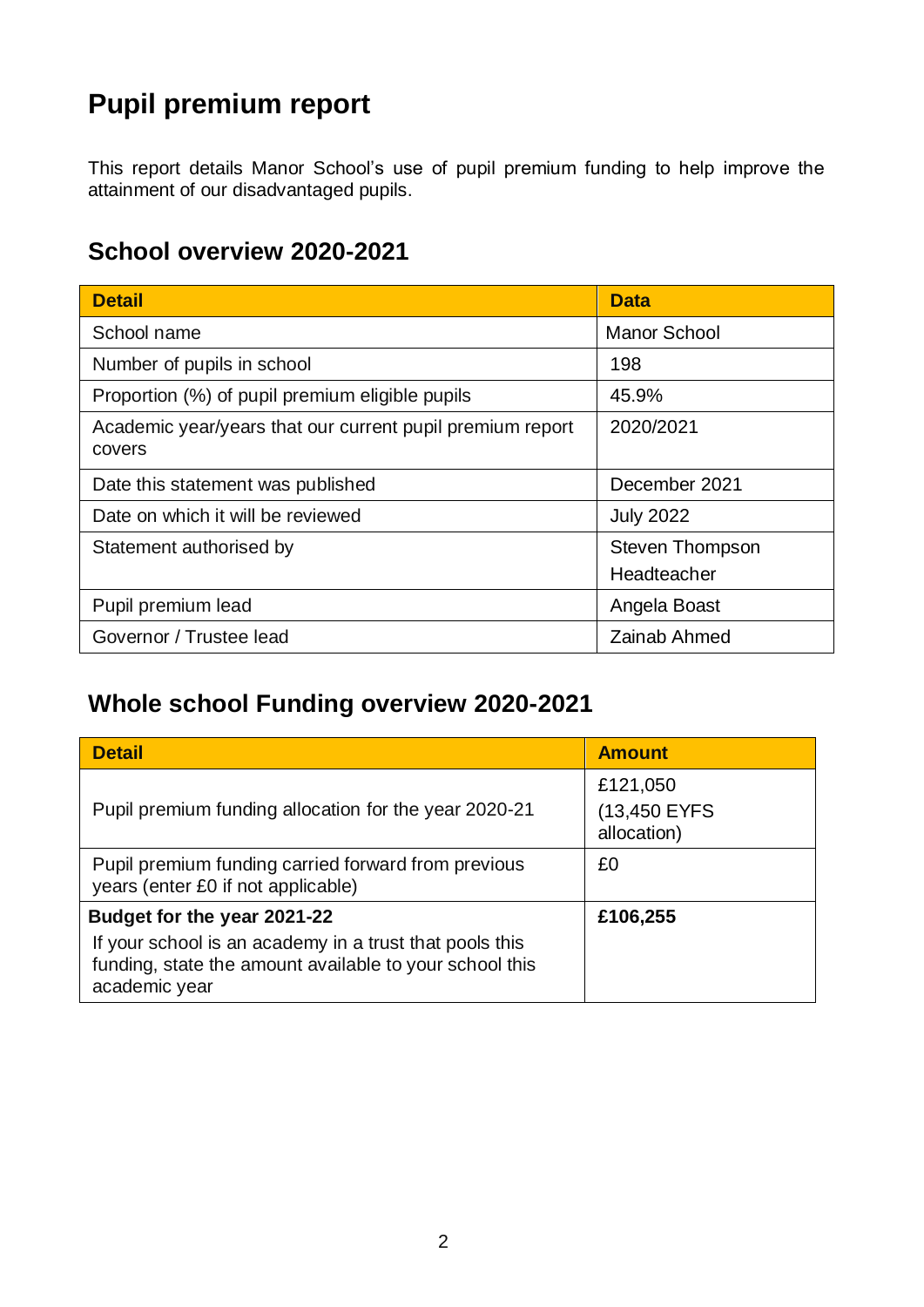# **Pupil premium report**

This report details Manor School's use of pupil premium funding to help improve the attainment of our disadvantaged pupils.

## **School overview 2020-2021**

| <b>Detail</b>                                                       | <b>Data</b>            |  |
|---------------------------------------------------------------------|------------------------|--|
| School name                                                         | <b>Manor School</b>    |  |
| Number of pupils in school                                          | 198                    |  |
| Proportion (%) of pupil premium eligible pupils                     | 45.9%                  |  |
| Academic year/years that our current pupil premium report<br>covers | 2020/2021              |  |
| Date this statement was published                                   | December 2021          |  |
| Date on which it will be reviewed                                   | <b>July 2022</b>       |  |
| Statement authorised by                                             | <b>Steven Thompson</b> |  |
|                                                                     | Headteacher            |  |
| Pupil premium lead                                                  | Angela Boast           |  |
| Governor / Trustee lead                                             | Zainab Ahmed           |  |

# **Whole school Funding overview 2020-2021**

| <b>Detail</b>                                                                                                                       | <b>Amount</b>                           |
|-------------------------------------------------------------------------------------------------------------------------------------|-----------------------------------------|
| Pupil premium funding allocation for the year 2020-21                                                                               | £121,050<br>(13,450 EYFS<br>allocation) |
| Pupil premium funding carried forward from previous<br>years (enter £0 if not applicable)                                           | £0                                      |
| Budget for the year 2021-22                                                                                                         | £106,255                                |
| If your school is an academy in a trust that pools this<br>funding, state the amount available to your school this<br>academic year |                                         |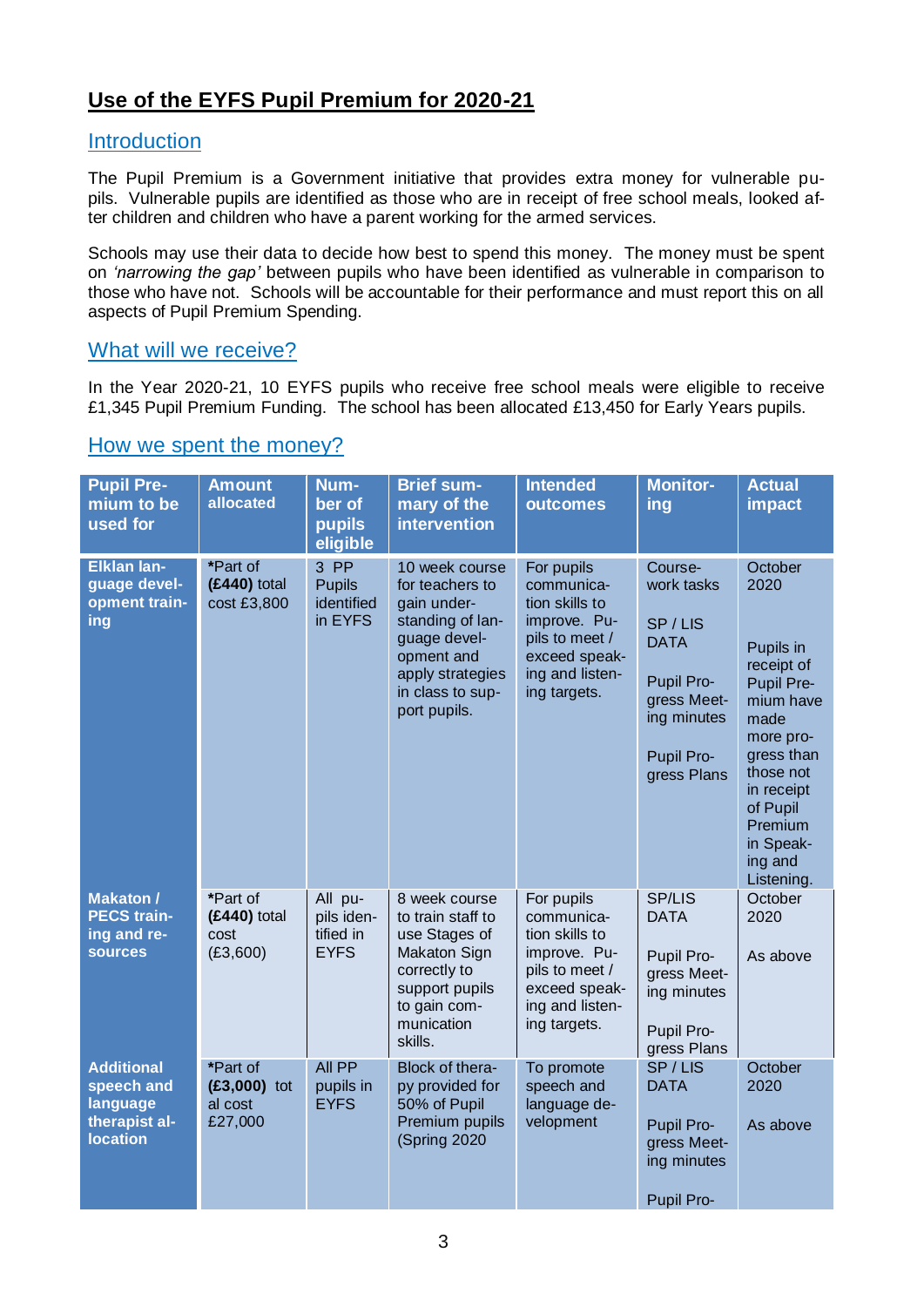## **Use of the EYFS Pupil Premium for 2020-21**

### **Introduction**

The Pupil Premium is a Government initiative that provides extra money for vulnerable pupils. Vulnerable pupils are identified as those who are in receipt of free school meals, looked after children and children who have a parent working for the armed services.

Schools may use their data to decide how best to spend this money. The money must be spent on *'narrowing the gap'* between pupils who have been identified as vulnerable in comparison to those who have not. Schools will be accountable for their performance and must report this on all aspects of Pupil Premium Spending.

### What will we receive?

In the Year 2020-21, 10 EYFS pupils who receive free school meals were eligible to receive £1,345 Pupil Premium Funding. The school has been allocated £13,450 for Early Years pupils.

### How we spent the money?

| <b>Pupil Pre-</b><br>mium to be<br>used for                                            | <b>Amount</b><br>allocated                       | Num-<br>ber of<br>pupils<br>eligible              | <b>Brief sum-</b><br>mary of the<br><b>intervention</b>                                                                                                    | <b>Intended</b><br>outcomes                                                                                                      | <b>Monitor-</b><br>ing                                                                                                  | <b>Actual</b><br><b>impact</b>                                                                                                                                                                   |
|----------------------------------------------------------------------------------------|--------------------------------------------------|---------------------------------------------------|------------------------------------------------------------------------------------------------------------------------------------------------------------|----------------------------------------------------------------------------------------------------------------------------------|-------------------------------------------------------------------------------------------------------------------------|--------------------------------------------------------------------------------------------------------------------------------------------------------------------------------------------------|
| <b>Elklan lan-</b><br>guage devel-<br>opment train-<br>ing                             | *Part of<br>$(E440)$ total<br>cost £3,800        | 3 PP<br><b>Pupils</b><br>identified<br>in EYFS    | 10 week course<br>for teachers to<br>gain under-<br>standing of lan-<br>guage devel-<br>opment and<br>apply strategies<br>in class to sup-<br>port pupils. | For pupils<br>communica-<br>tion skills to<br>improve. Pu-<br>pils to meet /<br>exceed speak-<br>ing and listen-<br>ing targets. | Course-<br>work tasks<br>SP/LIS<br><b>DATA</b><br>Pupil Pro-<br>gress Meet-<br>ing minutes<br>Pupil Pro-<br>gress Plans | October<br>2020<br>Pupils in<br>receipt of<br>Pupil Pre-<br>mium have<br>made<br>more pro-<br>gress than<br>those not<br>in receipt<br>of Pupil<br>Premium<br>in Speak-<br>ing and<br>Listening. |
| <b>Makaton /</b><br><b>PECS train-</b><br>ing and re-<br><b>sources</b>                | *Part of<br>$(E440)$ total<br>cost<br>(E3,600)   | All pu-<br>pils iden-<br>tified in<br><b>EYFS</b> | 8 week course<br>to train staff to<br>use Stages of<br><b>Makaton Sign</b><br>correctly to<br>support pupils<br>to gain com-<br>munication<br>skills.      | For pupils<br>communica-<br>tion skills to<br>improve. Pu-<br>pils to meet /<br>exceed speak-<br>ing and listen-<br>ing targets. | <b>SP/LIS</b><br><b>DATA</b><br>Pupil Pro-<br>gress Meet-<br>ing minutes<br>Pupil Pro-<br>gress Plans                   | October<br>2020<br>As above                                                                                                                                                                      |
| <b>Additional</b><br>speech and<br><b>language</b><br>therapist al-<br><b>location</b> | *Part of<br>$(E3,000)$ tot<br>al cost<br>£27,000 | All PP<br>pupils in<br><b>EYFS</b>                | Block of thera-<br>py provided for<br>50% of Pupil<br>Premium pupils<br>(Spring 2020                                                                       | To promote<br>speech and<br>language de-<br>velopment                                                                            | SP/LIS<br><b>DATA</b><br>Pupil Pro-<br>gress Meet-<br>ing minutes<br><b>Pupil Pro-</b>                                  | October<br>2020<br>As above                                                                                                                                                                      |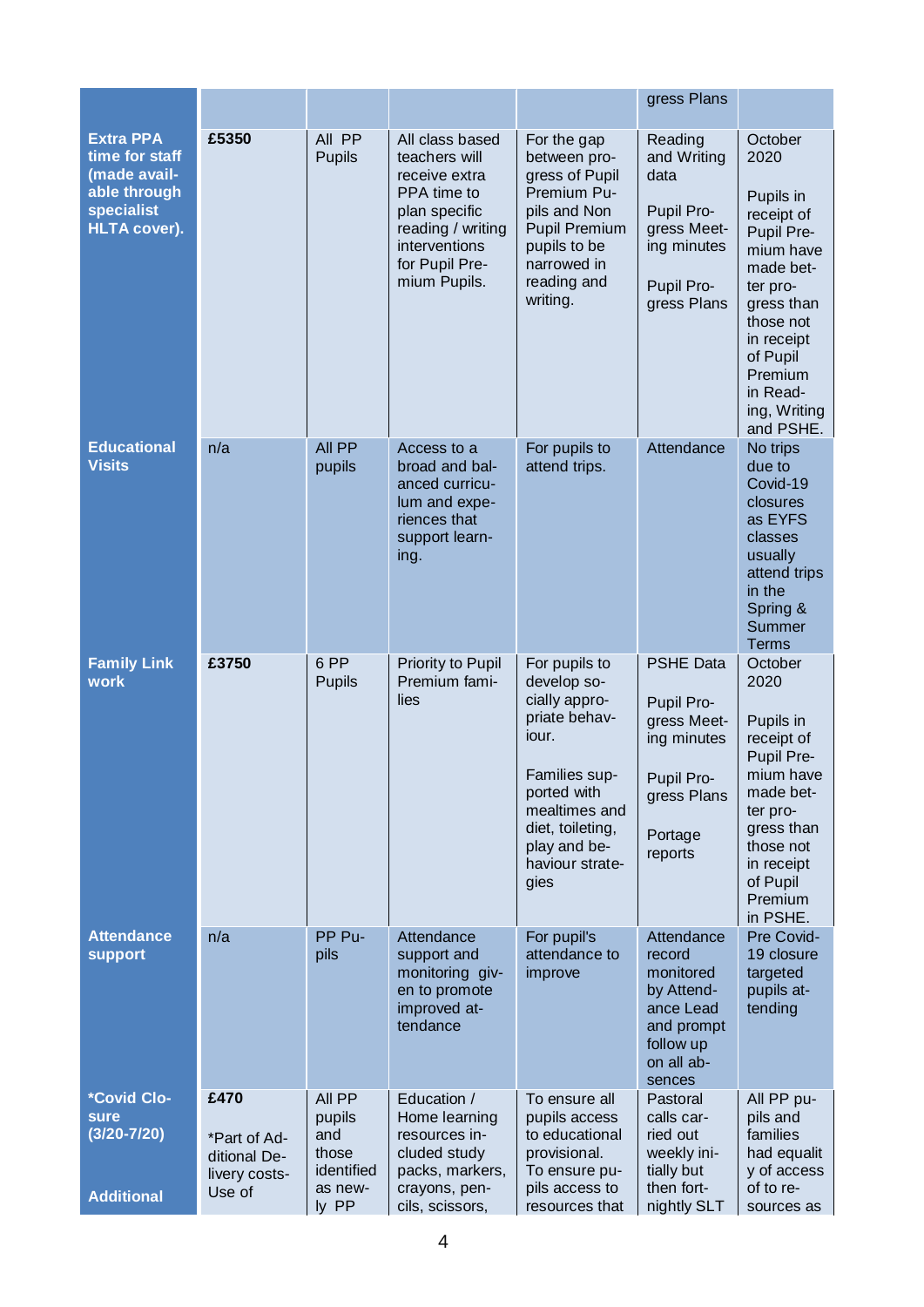|                                                                                                        |                                                                 |                                                                    |                                                                                                                                                           |                                                                                                                                                                                         | gress Plans                                                                                                     |                                                                                                                                                                                                         |
|--------------------------------------------------------------------------------------------------------|-----------------------------------------------------------------|--------------------------------------------------------------------|-----------------------------------------------------------------------------------------------------------------------------------------------------------|-----------------------------------------------------------------------------------------------------------------------------------------------------------------------------------------|-----------------------------------------------------------------------------------------------------------------|---------------------------------------------------------------------------------------------------------------------------------------------------------------------------------------------------------|
| <b>Extra PPA</b><br>time for staff<br>made avail-<br>able through<br>specialist<br><b>HLTA cover).</b> | £5350                                                           | All PP<br><b>Pupils</b>                                            | All class based<br>teachers will<br>receive extra<br>PPA time to<br>plan specific<br>reading / writing<br>interventions<br>for Pupil Pre-<br>mium Pupils. | For the gap<br>between pro-<br>gress of Pupil<br>Premium Pu-<br>pils and Non<br><b>Pupil Premium</b><br>pupils to be<br>narrowed in<br>reading and<br>writing.                          | Reading<br>and Writing<br>data<br>Pupil Pro-<br>gress Meet-<br>ing minutes<br>Pupil Pro-<br>gress Plans         | October<br>2020<br>Pupils in<br>receipt of<br>Pupil Pre-<br>mium have<br>made bet-<br>ter pro-<br>gress than<br>those not<br>in receipt<br>of Pupil<br>Premium<br>in Read-<br>ing, Writing<br>and PSHE. |
| <b>Educational</b><br><b>Visits</b>                                                                    | n/a                                                             | All PP<br>pupils                                                   | Access to a<br>broad and bal-<br>anced curricu-<br>lum and expe-<br>riences that<br>support learn-<br>ing.                                                | For pupils to<br>attend trips.                                                                                                                                                          | Attendance                                                                                                      | No trips<br>due to<br>Covid-19<br>closures<br>as EYFS<br>classes<br>usually<br>attend trips<br>in the<br>Spring &<br>Summer<br><b>Terms</b>                                                             |
| <b>Family Link</b><br>work                                                                             | £3750                                                           | 6 PP<br><b>Pupils</b>                                              | Priority to Pupil<br>Premium fami-<br>lies                                                                                                                | For pupils to<br>develop so-<br>cially appro-<br>priate behav-<br>iour.<br>Families sup-<br>ported with<br>mealtimes and<br>diet, toileting,<br>play and be-<br>haviour strate-<br>gies | <b>PSHE Data</b><br>Pupil Pro-<br>gress Meet-<br>ing minutes<br>Pupil Pro-<br>gress Plans<br>Portage<br>reports | October<br>2020<br>Pupils in<br>receipt of<br>Pupil Pre-<br>mium have<br>made bet-<br>ter pro-<br>gress than<br>those not<br>in receipt<br>of Pupil<br>Premium<br>in PSHE.                              |
| <b>Attendance</b><br><b>support</b>                                                                    | n/a                                                             | PP Pu-<br>pils                                                     | Attendance<br>support and<br>monitoring giv-<br>en to promote<br>improved at-<br>tendance                                                                 | For pupil's<br>attendance to<br>improve                                                                                                                                                 | Attendance<br>record<br>monitored<br>by Attend-<br>ance Lead<br>and prompt<br>follow up<br>on all ab-<br>sences | Pre Covid-<br>19 closure<br>targeted<br>pupils at-<br>tending                                                                                                                                           |
| *Covid Clo-<br>sure<br>$(3/20 - 7/20)$<br><b>Additional</b>                                            | £470<br>*Part of Ad-<br>ditional De-<br>livery costs-<br>Use of | All PP<br>pupils<br>and<br>those<br>identified<br>as new-<br>ly PP | Education /<br>Home learning<br>resources in-<br>cluded study<br>packs, markers,<br>crayons, pen-<br>cils, scissors,                                      | To ensure all<br>pupils access<br>to educational<br>provisional.<br>To ensure pu-<br>pils access to<br>resources that                                                                   | Pastoral<br>calls car-<br>ried out<br>weekly ini-<br>tially but<br>then fort-<br>nightly SLT                    | All PP pu-<br>pils and<br>families<br>had equalit<br>y of access<br>of to re-<br>sources as                                                                                                             |